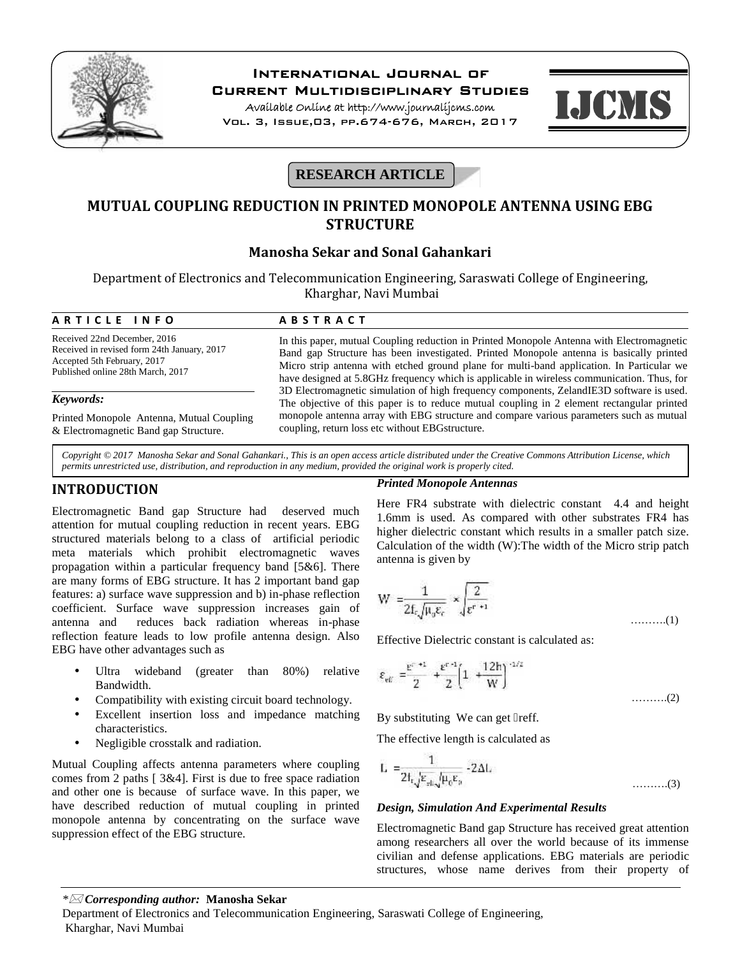

# **International Journal of**

**Current Multidisciplinary Studies**

**Available Online at http://www.journalijcms.com** Vol. 3, Issue,03, pp.674-676, March, 2017



## **RESEARCH ARTICLE**

## **MUTUAL COUPLING REDUCTION IN PRINTED MONOPOLE ANTENNA USING EBG STRUCTURE**

## **Manosha Sekar and Sonal Gahankari**

| Manosha Sekar and Sonal Gahankari                                                                                                               |                                                                                                                                                                                                                                                                                                                                                                                 |  |  |  |  |
|-------------------------------------------------------------------------------------------------------------------------------------------------|---------------------------------------------------------------------------------------------------------------------------------------------------------------------------------------------------------------------------------------------------------------------------------------------------------------------------------------------------------------------------------|--|--|--|--|
| Department of Electronics and Telecommunication Engineering, Saraswati College of Engineering,<br>Kharghar, Navi Mumbai                         |                                                                                                                                                                                                                                                                                                                                                                                 |  |  |  |  |
| ARTICLE INFO                                                                                                                                    | <b>ABSTRACT</b>                                                                                                                                                                                                                                                                                                                                                                 |  |  |  |  |
| Received 22nd December, 2016<br>Received in revised form 24th January, 2017<br>Accepted 5th February, 2017<br>Published online 28th March, 2017 | In this paper, mutual Coupling reduction in Printed Monopole Antenna with Electromagnetic<br>Band gap Structure has been investigated. Printed Monopole antenna is basically printed<br>Micro strip antenna with etched ground plane for multi-band application. In Particular we<br>have designed at 5.8GHz frequency which is applicable in wireless communication. Thus, for |  |  |  |  |
| Keywords:                                                                                                                                       | 3D Electromagnetic simulation of high frequency components, ZelandIE3D software is used.<br>The objective of this paper is to reduce mutual coupling in 2 element rectangular printed                                                                                                                                                                                           |  |  |  |  |
| Printed Monopole Antenna, Mutual Coupling<br>& Electromagnetic Band gap Structure.                                                              | monopole antenna array with EBG structure and compare various parameters such as mutual<br>coupling, return loss etc without EBG structure.                                                                                                                                                                                                                                     |  |  |  |  |

*Copyright © 2017 Manosha Sekar and Sonal Gahankari., This is an open access article distributed under the Creative Commons Attribution License, which permits unrestricted use, distribution, and reproduction in any medium, provided the original work is properly cited.*

### **INTRODUCTION**

Electromagnetic Band gap Structure had deserved much attention for mutual coupling reduction in recent years. EBG structured materials belong to a class of artificial periodic meta materials which prohibit electromagnetic waves propagation within a particular frequency band [5&6]. There are many forms of EBG structure. It has 2 important band gap features: a) surface wave suppression and b) in-phase reflection coefficient. Surface wave suppression increases gain of antenna and reduces back radiation whereas in-phase reflection feature leads to low profile antenna design. Also EBG have other advantages such as

- Ultra wideband (greater than 80%) relative Bandwidth.
- Compatibility with existing circuit board technology.
- Excellent insertion loss and impedance matching characteristics.
- Negligible crosstalk and radiation.

Mutual Coupling affects antenna parameters where coupling comes from 2 paths [ 3&4]. First is due to free space radiation and other one is because of surface wave. In this paper, we have described reduction of mutual coupling in printed monopole antenna by concentrating on the surface wave suppression effect of the EBG structure.

#### *Printed Monopole Antennas*

Here FR4 substrate with dielectric constant 4.4 and height 1.6mm is used. As compared with other substrates FR4 has higher dielectric constant which results in a smaller patch size. Calculation of the width (W):The width of the Micro strip patch antenna is given by

$$
W = \frac{1}{2f_{\epsilon}\sqrt{\mu_0 \epsilon_{\epsilon}}} \times \sqrt{\frac{2}{\epsilon^{r+1}}} \tag{1}
$$

Effective Dielectric constant is calculated as:

$$
\varepsilon_{\rm eff} = \frac{\varepsilon^{c-+1}}{2} + \frac{\varepsilon^{c-1}}{2} \left( 1 + \frac{12h}{W} \right)^{-1/2} \tag{2}
$$

By substituting We can get reff.

The effective length is calculated as

$$
L = \frac{1}{2t_{\rm r}\sqrt{\varepsilon_{\rm sL}\sqrt{\mu_{\rm e}\varepsilon_{\rm p}}}} - 2\Delta L
$$
 (3)

#### *Design, Simulation And Experimental Results*

Electromagnetic Band gap Structure has received great attention among researchers all over the world because of its immense civilian and defense applications. EBG materials are periodic structures, whose name derives from their property of

#### *\* Corresponding author:* **Manosha Sekar**

Department of Electronics and Telecommunication Engineering, Saraswati College of Engineering, Kharghar, Navi Mumbai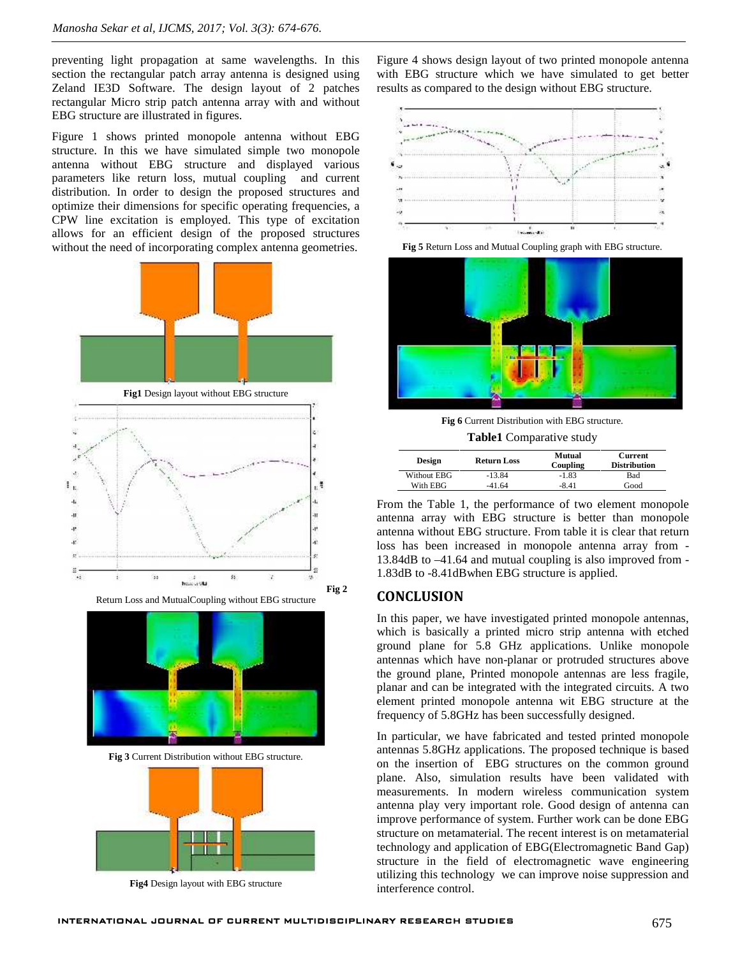preventing light propagation at same wavelengths. In this section the rectangular patch array antenna is designed using Zeland IE3D Software. The design layout of 2 patches rectangular Micro strip patch antenna array with and without EBG structure are illustrated in figures.

Figure 1 shows printed monopole antenna without EBG structure. In this we have simulated simple two monopole antenna without EBG structure and displayed various parameters like return loss, mutual coupling and current distribution. In order to design the proposed structures and optimize their dimensions for specific operating frequencies, a CPW line excitation is employed. This type of excitation allows for an efficient design of the proposed structures without the need of incorporating complex antenna geometries.



Return Loss and MutualCoupling without EBG structure



**Fig 3** Current Distribution without EBG structure.



**Fig4** Design layout with EBG structure

Figure 4 shows design layout of two printed monopole antenna with EBG structure which we have simulated to get better results as compared to the design without EBG structure.



**Fig 5** Return Loss and Mutual Coupling graph with EBG structure.



**Fig 6** Current Distribution with EBG structure.

**Table1** Comparative study

| <b>Design</b> | <b>Return Loss</b> | Mutual<br>Coupling | <b>Current</b><br><b>Distribution</b> |
|---------------|--------------------|--------------------|---------------------------------------|
| Without EBG   | $-13.84$           | $-1.83$            | Bad                                   |
| With EBG      | $-41.64$           | $-8.41$            | Good                                  |

From the Table 1, the performance of two element monopole antenna array with EBG structure is better than monopole antenna without EBG structure. From table it is clear that return loss has been increased in monopole antenna array from - 13.84dB to –41.64 and mutual coupling is also improved from - 1.83dB to -8.41dBwhen EBG structure is applied.

### **CONCLUSION**

In this paper, we have investigated printed monopole antennas, which is basically a printed micro strip antenna with etched ground plane for 5.8 GHz applications. Unlike monopole antennas which have non-planar or protruded structures above the ground plane, Printed monopole antennas are less fragile, planar and can be integrated with the integrated circuits. A two element printed monopole antenna wit EBG structure at the frequency of 5.8GHz has been successfully designed.

In particular, we have fabricated and tested printed monopole antennas 5.8GHz applications. The proposed technique is based on the insertion of EBG structures on the common ground plane. Also, simulation results have been validated with measurements. In modern wireless communication system antenna play very important role. Good design of antenna can improve performance of system. Further work can be done EBG structure on metamaterial. The recent interest is on metamaterial technology and application of EBG(Electromagnetic Band Gap) structure in the field of electromagnetic wave engineering utilizing this technology we can improve noise suppression and interference control.